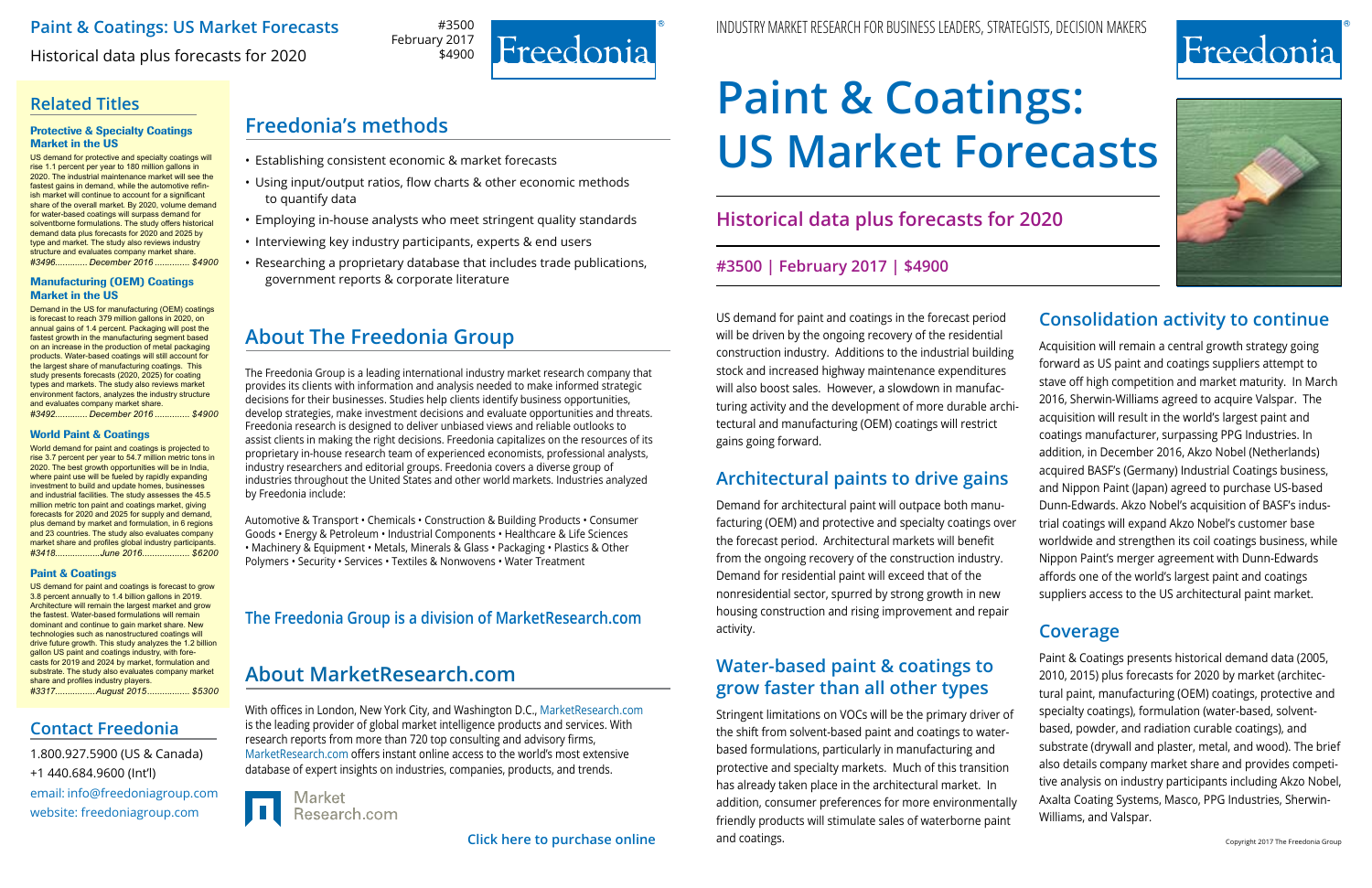



#3500 February 2017 \$4900



### **Paint & Coatings: US Market Forecasts**

Historical data plus forecasts for 2020

# **Related Titles**

# **Freedonia's methods**

- Establishing consistent economic & market forecasts
- Using input/output ratios, flow charts & other economic methods to quantify data
- Employing in-house analysts who meet stringent quality standards
- Interviewing key industry participants, experts & end users
- Researching a proprietary database that includes trade publications, government reports & corporate literature

# **About The Freedonia Group**

The Freedonia Group is a leading international industry market research company that provides its clients with information and analysis needed to make informed strategic decisions for their businesses. Studies help clients identify business opportunities, develop strategies, make investment decisions and evaluate opportunities and threats. Freedonia research is designed to deliver unbiased views and reliable outlooks to assist clients in making the right decisions. Freedonia capitalizes on the resources of its proprietary in-house research team of experienced economists, professional analysts, industry researchers and editorial groups. Freedonia covers a diverse group of industries throughout the United States and other world markets. Industries analyzed by Freedonia include:

Automotive & Transport • Chemicals • Construction & Building Products • Consumer Goods • Energy & Petroleum • Industrial Components • Healthcare & Life Sciences • Machinery & Equipment • Metals, Minerals & Glass • Packaging • Plastics & Other Polymers • Security • Services • Textiles & Nonwovens • Water Treatment

With offices in London, New York City, and Washington D.C., [MarketResearch.com](http://www.marketresearch.com/) is the leading provider of global market intelligence products and services. With research reports from more than 720 top consulting and advisory firms, [MarketResearch.com](http://www.marketresearch.com/) offers instant online access to the world's most extensive database of expert insights on industries, companies, products, and trends.



Research.com

# **[About MarketResearch.com](http://www.marketresearch.com/)**

## **The Freedonia Group is a division of [MarketResearch.com](http://www.marketresearch.com/)**

email: [info@freedoniagroup.com](mailto:info@freedoniagroup.com) website: [freedoniagroup.com](http://www.freedoniagroup.com/Home.aspx?ReferrerId=FM-Bro) 1.800.927.5900 (US & Canada) +1 440.684.9600 (Int'l)

### **Contact Freedonia**

#### Protective & Specialty Coatings Market in the US

US demand for protective and specialty coatings will rise 1.1 percent per year to 180 million gallons in 2020. The industrial maintenance market will see the fastest gains in demand, while the automotive refinish market will continue to account for a significant share of the overall market. By 2020, volume demand for water-based coatings will surpass demand for solventborne formulations. The study offers historical demand data plus forecasts for 2020 and 2025 by type and market. The study also reviews industry structure and evaluates company market share. *#3496............. December 2016 .............. \$4900*

#### Manufacturing (OEM) Coatings Market in the US

Demand in the US for manufacturing (OEM) coatings is forecast to reach 379 million gallons in 2020, on annual gains of 1.4 percent. Packaging will post the fastest growth in the manufacturing segment based on an increase in the production of metal packaging products. Water-based coatings will still account for the largest share of manufacturing coatings. This study presents forecasts (2020, 2025) for coating types and markets. The study also reviews market environment factors, analyzes the industry structure and evaluates company market share. *#3492............. December 2016 .............. \$4900*

#### World Paint & Coatings

World demand for paint and coatings is projected to rise 3.7 percent per year to 54.7 million metric tons in 2020. The best growth opportunities will be in India, where paint use will be fueled by rapidly expanding investment to build and update homes, businesses and industrial facilities. The study assesses the 45.5 million metric ton paint and coatings market, giving forecasts for 2020 and 2025 for supply and demand, plus demand by market and formulation, in 6 regions and 23 countries. The study also evaluates company market share and profiles global industry participants.<br>#3418..................June 2016..................... \$6200 *#3418..................June 2016................... \$6200*

#### Paint & Coatings

US demand for paint and coatings is forecast to grow 3.8 percent annually to 1.4 billion gallons in 2019. Architecture will remain the largest market and grow the fastest. Water-based formulations will remain dominant and continue to gain market share. New technologies such as nanostructured coatings will drive future growth. This study analyzes the 1.2 billion gallon US paint and coatings industry, with forecasts for 2019 and 2024 by market, formulation and substrate. The study also evaluates company market share and profiles industry players. *#3317................August 2015................. \$5300* US demand for paint and coatings in the forecast period will be driven by the ongoing recovery of the residential construction industry. Additions to the industrial building stock and increased highway maintenance expenditures will also boost sales. However, a slowdown in manufacturing activity and the development of more durable architectural and manufacturing (OEM) coatings will restrict gains going forward.

# **Architectural paints to drive gains**

Demand for architectural paint will outpace both manufacturing (OEM) and protective and specialty coatings over the forecast period. Architectural markets will benefit from the ongoing recovery of the construction industry. Demand for residential paint will exceed that of the nonresidential sector, spurred by strong growth in new housing construction and rising improvement and repair activity.

# **Water-based paint & coatings to grow faster than all other types**

Stringent limitations on VOCs will be the primary driver of the shift from solvent-based paint and coatings to waterbased formulations, particularly in manufacturing and protective and specialty markets. Much of this transition has already taken place in the architectural market. In addition, consumer preferences for more environmentally friendly products will stimulate sales of waterborne paint and coatings.

### **Consolidation activity to continue**

Acquisition will remain a central growth strategy going forward as US paint and coatings suppliers attempt to stave off high competition and market maturity. In March 2016, Sherwin-Williams agreed to acquire Valspar. The acquisition will result in the world's largest paint and coatings manufacturer, surpassing PPG Industries. In addition, in December 2016, Akzo Nobel (Netherlands) acquired BASF's (Germany) Industrial Coatings business, and Nippon Paint (Japan) agreed to purchase US-based Dunn-Edwards. Akzo Nobel's acquisition of BASF's industrial coatings will expand Akzo Nobel's customer base worldwide and strengthen its coil coatings business, while Nippon Paint's merger agreement with Dunn-Edwards affords one of the world's largest paint and coatings suppliers access to the US architectural paint market.

### **Coverage**

Paint & Coatings presents historical demand data (2005, 2010, 2015) plus forecasts for 2020 by market (architectural paint, manufacturing (OEM) coatings, protective and specialty coatings), formulation (water-based, solventbased, powder, and radiation curable coatings), and substrate (drywall and plaster, metal, and wood). The brief also details company market share and provides competitive analysis on industry participants including Akzo Nobel, Axalta Coating Systems, Masco, PPG Industries, Sherwin-Williams, and Valspar.

**Historical data plus forecasts for 2020**

### **#3500 | February 2017 | \$4900**

# **Paint & Coatings: US Market Forecasts**